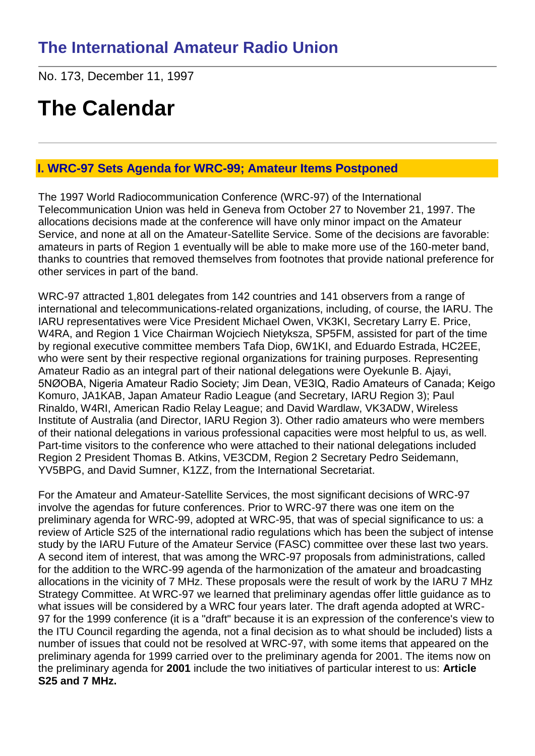No. 173, December 11, 1997

# **The Calendar**

## **I. WRC-97 Sets Agenda for WRC-99; Amateur Items Postponed**

The 1997 World Radiocommunication Conference (WRC-97) of the International Telecommunication Union was held in Geneva from October 27 to November 21, 1997. The allocations decisions made at the conference will have only minor impact on the Amateur Service, and none at all on the Amateur-Satellite Service. Some of the decisions are favorable: amateurs in parts of Region 1 eventually will be able to make more use of the 160-meter band, thanks to countries that removed themselves from footnotes that provide national preference for other services in part of the band.

WRC-97 attracted 1,801 delegates from 142 countries and 141 observers from a range of international and telecommunications-related organizations, including, of course, the IARU. The IARU representatives were Vice President Michael Owen, VK3KI, Secretary Larry E. Price, W4RA, and Region 1 Vice Chairman Wojciech Nietyksza, SP5FM, assisted for part of the time by regional executive committee members Tafa Diop, 6W1KI, and Eduardo Estrada, HC2EE, who were sent by their respective regional organizations for training purposes. Representing Amateur Radio as an integral part of their national delegations were Oyekunle B. Ajayi, 5NØOBA, Nigeria Amateur Radio Society; Jim Dean, VE3IQ, Radio Amateurs of Canada; Keigo Komuro, JA1KAB, Japan Amateur Radio League (and Secretary, IARU Region 3); Paul Rinaldo, W4RI, American Radio Relay League; and David Wardlaw, VK3ADW, Wireless Institute of Australia (and Director, IARU Region 3). Other radio amateurs who were members of their national delegations in various professional capacities were most helpful to us, as well. Part-time visitors to the conference who were attached to their national delegations included Region 2 President Thomas B. Atkins, VE3CDM, Region 2 Secretary Pedro Seidemann, YV5BPG, and David Sumner, K1ZZ, from the International Secretariat.

For the Amateur and Amateur-Satellite Services, the most significant decisions of WRC-97 involve the agendas for future conferences. Prior to WRC-97 there was one item on the preliminary agenda for WRC-99, adopted at WRC-95, that was of special significance to us: a review of Article S25 of the international radio regulations which has been the subject of intense study by the IARU Future of the Amateur Service (FASC) committee over these last two years. A second item of interest, that was among the WRC-97 proposals from administrations, called for the addition to the WRC-99 agenda of the harmonization of the amateur and broadcasting allocations in the vicinity of 7 MHz. These proposals were the result of work by the IARU 7 MHz Strategy Committee. At WRC-97 we learned that preliminary agendas offer little guidance as to what issues will be considered by a WRC four years later. The draft agenda adopted at WRC-97 for the 1999 conference (it is a "draft" because it is an expression of the conference's view to the ITU Council regarding the agenda, not a final decision as to what should be included) lists a number of issues that could not be resolved at WRC-97, with some items that appeared on the preliminary agenda for 1999 carried over to the preliminary agenda for 2001. The items now on the preliminary agenda for **2001** include the two initiatives of particular interest to us: **Article S25 and 7 MHz.**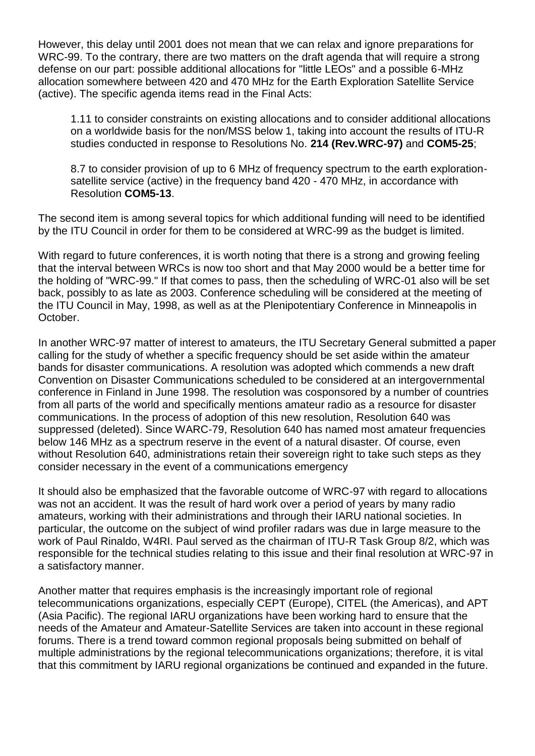However, this delay until 2001 does not mean that we can relax and ignore preparations for WRC-99. To the contrary, there are two matters on the draft agenda that will require a strong defense on our part: possible additional allocations for "little LEOs" and a possible 6-MHz allocation somewhere between 420 and 470 MHz for the Earth Exploration Satellite Service (active). The specific agenda items read in the Final Acts:

1.11 to consider constraints on existing allocations and to consider additional allocations on a worldwide basis for the non/MSS below 1, taking into account the results of ITU-R studies conducted in response to Resolutions No. **214 (Rev.WRC-97)** and **COM5-25**;

8.7 to consider provision of up to 6 MHz of frequency spectrum to the earth explorationsatellite service (active) in the frequency band 420 - 470 MHz, in accordance with Resolution **COM5-13**.

The second item is among several topics for which additional funding will need to be identified by the ITU Council in order for them to be considered at WRC-99 as the budget is limited.

With regard to future conferences, it is worth noting that there is a strong and growing feeling that the interval between WRCs is now too short and that May 2000 would be a better time for the holding of "WRC-99." If that comes to pass, then the scheduling of WRC-01 also will be set back, possibly to as late as 2003. Conference scheduling will be considered at the meeting of the ITU Council in May, 1998, as well as at the Plenipotentiary Conference in Minneapolis in October.

In another WRC-97 matter of interest to amateurs, the ITU Secretary General submitted a paper calling for the study of whether a specific frequency should be set aside within the amateur bands for disaster communications. A resolution was adopted which commends a new draft Convention on Disaster Communications scheduled to be considered at an intergovernmental conference in Finland in June 1998. The resolution was cosponsored by a number of countries from all parts of the world and specifically mentions amateur radio as a resource for disaster communications. In the process of adoption of this new resolution, Resolution 640 was suppressed (deleted). Since WARC-79, Resolution 640 has named most amateur frequencies below 146 MHz as a spectrum reserve in the event of a natural disaster. Of course, even without Resolution 640, administrations retain their sovereign right to take such steps as they consider necessary in the event of a communications emergency

It should also be emphasized that the favorable outcome of WRC-97 with regard to allocations was not an accident. It was the result of hard work over a period of years by many radio amateurs, working with their administrations and through their IARU national societies. In particular, the outcome on the subject of wind profiler radars was due in large measure to the work of Paul Rinaldo, W4RI. Paul served as the chairman of ITU-R Task Group 8/2, which was responsible for the technical studies relating to this issue and their final resolution at WRC-97 in a satisfactory manner.

Another matter that requires emphasis is the increasingly important role of regional telecommunications organizations, especially CEPT (Europe), CITEL (the Americas), and APT (Asia Pacific). The regional IARU organizations have been working hard to ensure that the needs of the Amateur and Amateur-Satellite Services are taken into account in these regional forums. There is a trend toward common regional proposals being submitted on behalf of multiple administrations by the regional telecommunications organizations; therefore, it is vital that this commitment by IARU regional organizations be continued and expanded in the future.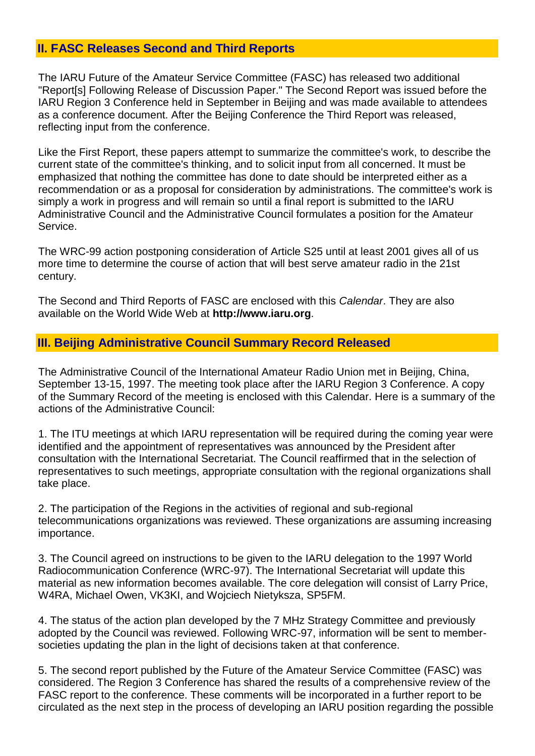## **II. FASC Releases Second and Third Reports**

The IARU Future of the Amateur Service Committee (FASC) has released two additional "Report[s] Following Release of Discussion Paper." The Second Report was issued before the IARU Region 3 Conference held in September in Beijing and was made available to attendees as a conference document. After the Beijing Conference the Third Report was released, reflecting input from the conference.

Like the First Report, these papers attempt to summarize the committee's work, to describe the current state of the committee's thinking, and to solicit input from all concerned. It must be emphasized that nothing the committee has done to date should be interpreted either as a recommendation or as a proposal for consideration by administrations. The committee's work is simply a work in progress and will remain so until a final report is submitted to the IARU Administrative Council and the Administrative Council formulates a position for the Amateur Service.

The WRC-99 action postponing consideration of Article S25 until at least 2001 gives all of us more time to determine the course of action that will best serve amateur radio in the 21st century.

The Second and Third Reports of FASC are enclosed with this *Calendar*. They are also available on the World Wide Web at **http://www.iaru.org**.

## **III. Beijing Administrative Council Summary Record Released**

The Administrative Council of the International Amateur Radio Union met in Beijing, China, September 13-15, 1997. The meeting took place after the IARU Region 3 Conference. A copy of the Summary Record of the meeting is enclosed with this Calendar. Here is a summary of the actions of the Administrative Council:

1. The ITU meetings at which IARU representation will be required during the coming year were identified and the appointment of representatives was announced by the President after consultation with the International Secretariat. The Council reaffirmed that in the selection of representatives to such meetings, appropriate consultation with the regional organizations shall take place.

2. The participation of the Regions in the activities of regional and sub-regional telecommunications organizations was reviewed. These organizations are assuming increasing importance.

3. The Council agreed on instructions to be given to the IARU delegation to the 1997 World Radiocommunication Conference (WRC-97). The International Secretariat will update this material as new information becomes available. The core delegation will consist of Larry Price, W4RA, Michael Owen, VK3KI, and Wojciech Nietyksza, SP5FM.

4. The status of the action plan developed by the 7 MHz Strategy Committee and previously adopted by the Council was reviewed. Following WRC-97, information will be sent to membersocieties updating the plan in the light of decisions taken at that conference.

5. The second report published by the Future of the Amateur Service Committee (FASC) was considered. The Region 3 Conference has shared the results of a comprehensive review of the FASC report to the conference. These comments will be incorporated in a further report to be circulated as the next step in the process of developing an IARU position regarding the possible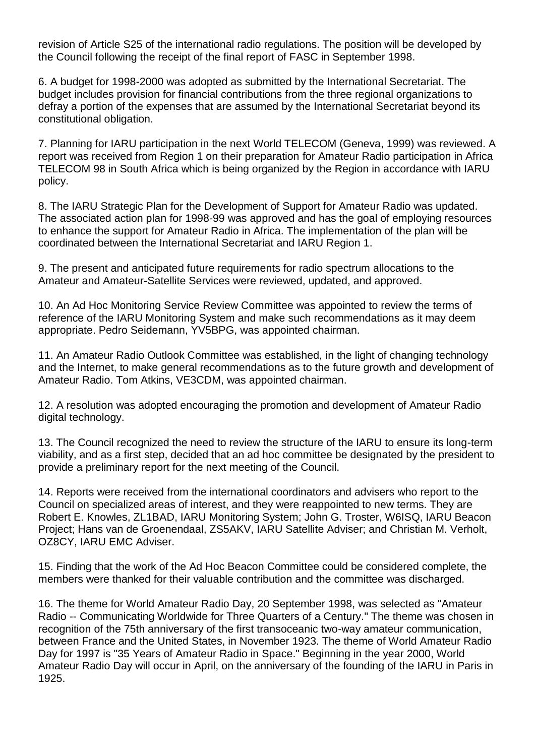revision of Article S25 of the international radio regulations. The position will be developed by the Council following the receipt of the final report of FASC in September 1998.

6. A budget for 1998-2000 was adopted as submitted by the International Secretariat. The budget includes provision for financial contributions from the three regional organizations to defray a portion of the expenses that are assumed by the International Secretariat beyond its constitutional obligation.

7. Planning for IARU participation in the next World TELECOM (Geneva, 1999) was reviewed. A report was received from Region 1 on their preparation for Amateur Radio participation in Africa TELECOM 98 in South Africa which is being organized by the Region in accordance with IARU policy.

8. The IARU Strategic Plan for the Development of Support for Amateur Radio was updated. The associated action plan for 1998-99 was approved and has the goal of employing resources to enhance the support for Amateur Radio in Africa. The implementation of the plan will be coordinated between the International Secretariat and IARU Region 1.

9. The present and anticipated future requirements for radio spectrum allocations to the Amateur and Amateur-Satellite Services were reviewed, updated, and approved.

10. An Ad Hoc Monitoring Service Review Committee was appointed to review the terms of reference of the IARU Monitoring System and make such recommendations as it may deem appropriate. Pedro Seidemann, YV5BPG, was appointed chairman.

11. An Amateur Radio Outlook Committee was established, in the light of changing technology and the Internet, to make general recommendations as to the future growth and development of Amateur Radio. Tom Atkins, VE3CDM, was appointed chairman.

12. A resolution was adopted encouraging the promotion and development of Amateur Radio digital technology.

13. The Council recognized the need to review the structure of the IARU to ensure its long-term viability, and as a first step, decided that an ad hoc committee be designated by the president to provide a preliminary report for the next meeting of the Council.

14. Reports were received from the international coordinators and advisers who report to the Council on specialized areas of interest, and they were reappointed to new terms. They are Robert E. Knowles, ZL1BAD, IARU Monitoring System; John G. Troster, W6ISQ, IARU Beacon Project; Hans van de Groenendaal, ZS5AKV, IARU Satellite Adviser; and Christian M. Verholt, OZ8CY, IARU EMC Adviser.

15. Finding that the work of the Ad Hoc Beacon Committee could be considered complete, the members were thanked for their valuable contribution and the committee was discharged.

16. The theme for World Amateur Radio Day, 20 September 1998, was selected as "Amateur Radio -- Communicating Worldwide for Three Quarters of a Century." The theme was chosen in recognition of the 75th anniversary of the first transoceanic two-way amateur communication, between France and the United States, in November 1923. The theme of World Amateur Radio Day for 1997 is "35 Years of Amateur Radio in Space." Beginning in the year 2000, World Amateur Radio Day will occur in April, on the anniversary of the founding of the IARU in Paris in 1925.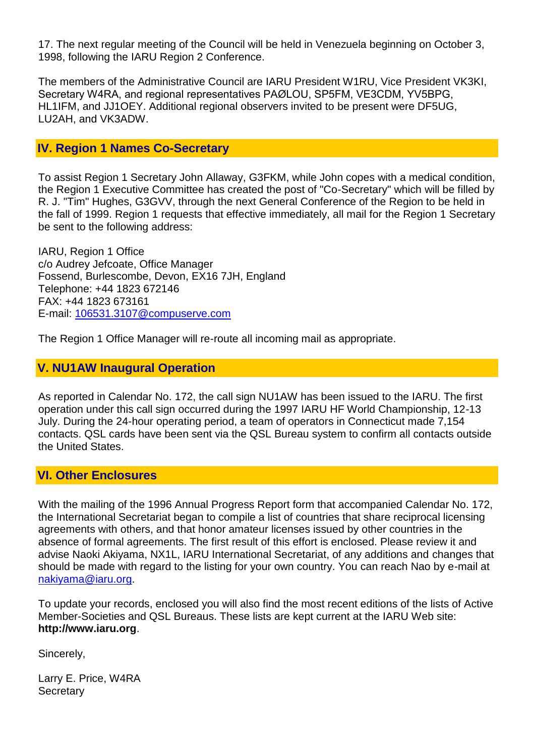17. The next regular meeting of the Council will be held in Venezuela beginning on October 3, 1998, following the IARU Region 2 Conference.

The members of the Administrative Council are IARU President W1RU, Vice President VK3KI, Secretary W4RA, and regional representatives PAØLOU, SP5FM, VE3CDM, YV5BPG, HL1IFM, and JJ1OEY. Additional regional observers invited to be present were DF5UG, LU2AH, and VK3ADW.

## **IV. Region 1 Names Co-Secretary**

To assist Region 1 Secretary John Allaway, G3FKM, while John copes with a medical condition, the Region 1 Executive Committee has created the post of "Co-Secretary" which will be filled by R. J. "Tim" Hughes, G3GVV, through the next General Conference of the Region to be held in the fall of 1999. Region 1 requests that effective immediately, all mail for the Region 1 Secretary be sent to the following address:

IARU, Region 1 Office c/o Audrey Jefcoate, Office Manager Fossend, Burlescombe, Devon, EX16 7JH, England Telephone: +44 1823 672146 FAX: +44 1823 673161 E-mail: [106531.3107@compuserve.com](mailto:106531.3107@compuserve.com)

The Region 1 Office Manager will re-route all incoming mail as appropriate.

#### **V. NU1AW Inaugural Operation**

As reported in Calendar No. 172, the call sign NU1AW has been issued to the IARU. The first operation under this call sign occurred during the 1997 IARU HF World Championship, 12-13 July. During the 24-hour operating period, a team of operators in Connecticut made 7,154 contacts. QSL cards have been sent via the QSL Bureau system to confirm all contacts outside the United States.

#### **VI. Other Enclosures**

With the mailing of the 1996 Annual Progress Report form that accompanied Calendar No. 172, the International Secretariat began to compile a list of countries that share reciprocal licensing agreements with others, and that honor amateur licenses issued by other countries in the absence of formal agreements. The first result of this effort is enclosed. Please review it and advise Naoki Akiyama, NX1L, IARU International Secretariat, of any additions and changes that should be made with regard to the listing for your own country. You can reach Nao by e-mail at [nakiyama@iaru.org.](mailto:nakiyama@iaru.org)

To update your records, enclosed you will also find the most recent editions of the lists of Active Member-Societies and QSL Bureaus. These lists are kept current at the IARU Web site: **http://www.iaru.org**.

Sincerely,

Larry E. Price, W4RA **Secretary**